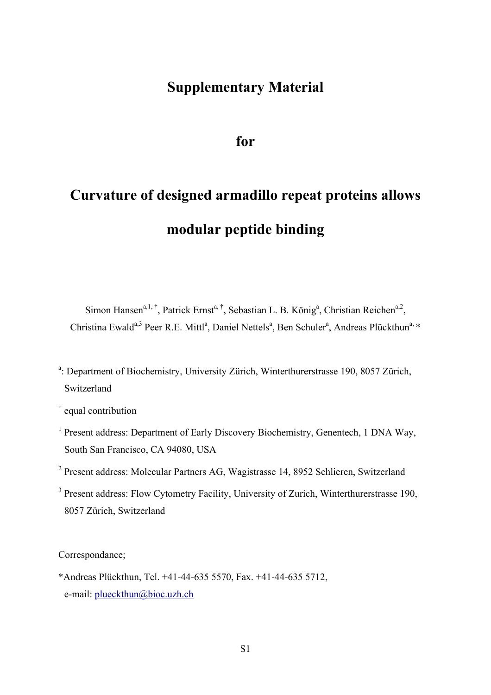## **Supplementary Material**

**for**

# **Curvature of designed armadillo repeat proteins allows modular peptide binding**

Simon Hansen<sup>a, 1, †</sup>, Patrick Ernst<sup>a, †</sup>, Sebastian L. B. König<sup>a</sup>, Christian Reichen<sup>a, 2</sup>, Christina Ewald<sup>a,3</sup> Peer R.E. Mittl<sup>a</sup>, Daniel Nettels<sup>a</sup>, Ben Schuler<sup>a</sup>, Andreas Plückthun<sup>a, \*</sup>

- <sup>a</sup>: Department of Biochemistry, University Zürich, Winterthurerstrasse 190, 8057 Zürich, Switzerland
- † equal contribution
- <sup>1</sup> Present address: Department of Early Discovery Biochemistry, Genentech, 1 DNA Way, South San Francisco, CA 94080, USA
- <sup>2</sup> Present address: Molecular Partners AG, Wagistrasse 14, 8952 Schlieren, Switzerland
- <sup>3</sup> Present address: Flow Cytometry Facility, University of Zurich, Winterthurerstrasse 190, 8057 Zürich, Switzerland

Correspondance;

\*Andreas Plückthun, Tel. +41-44-635 5570, Fax. +41-44-635 5712, e-mail: plueckthun@bioc.uzh.ch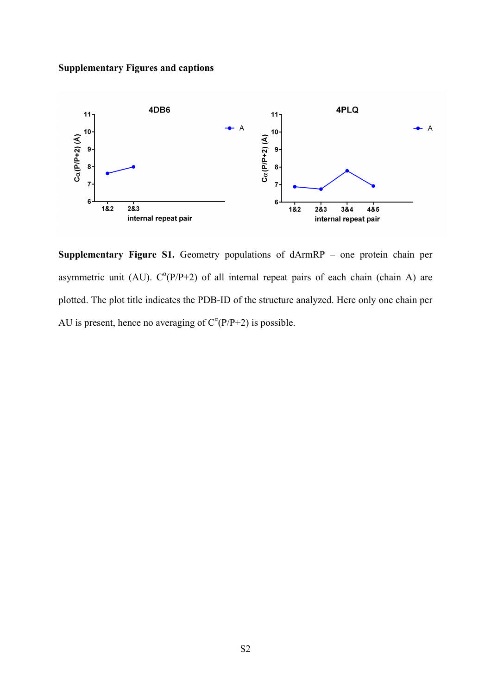#### **Supplementary Figures and captions**



**Supplementary Figure S1.** Geometry populations of dArmRP – one protein chain per asymmetric unit (AU).  $C^{\alpha}(P/P+2)$  of all internal repeat pairs of each chain (chain A) are plotted. The plot title indicates the PDB-ID of the structure analyzed. Here only one chain per AU is present, hence no averaging of  $C^{\alpha}(P/P+2)$  is possible.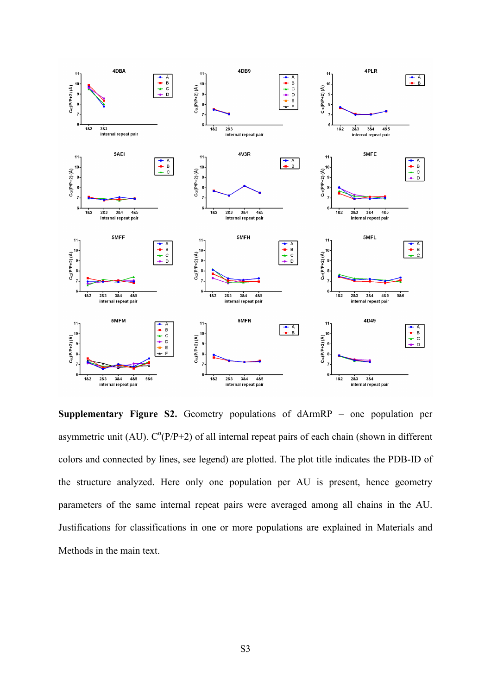

**Supplementary Figure S2.** Geometry populations of dArmRP – one population per asymmetric unit (AU).  $C^{\alpha}(P/P+2)$  of all internal repeat pairs of each chain (shown in different colors and connected by lines, see legend) are plotted. The plot title indicates the PDB-ID of the structure analyzed. Here only one population per AU is present, hence geometry parameters of the same internal repeat pairs were averaged among all chains in the AU. Justifications for classifications in one or more populations are explained in Materials and Methods in the main text.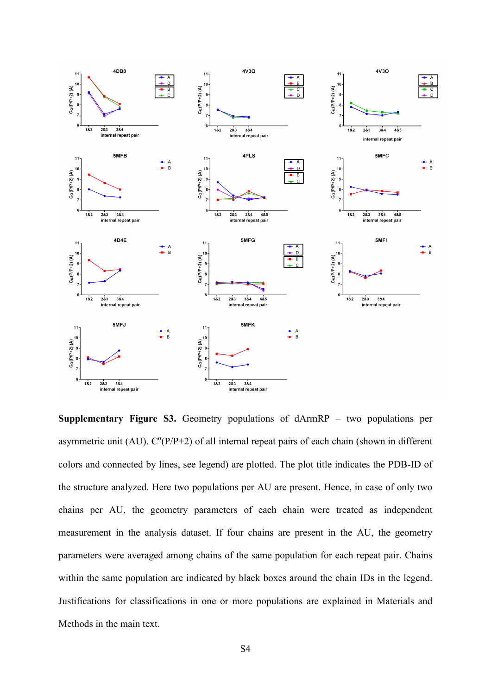

**Supplementary Figure S3.** Geometry populations of dArmRP – two populations per asymmetric unit (AU).  $C^{\alpha}(P/P+2)$  of all internal repeat pairs of each chain (shown in different colors and connected by lines, see legend) are plotted. The plot title indicates the PDB-ID of the structure analyzed. Here two populations per AU are present. Hence, in case of only two chains per AU, the geometry parameters of each chain were treated as independent measurement in the analysis dataset. If four chains are present in the AU, the geometry parameters were averaged among chains of the same population for each repeat pair. Chains within the same population are indicated by black boxes around the chain IDs in the legend. Justifications for classifications in one or more populations are explained in Materials and Methods in the main text.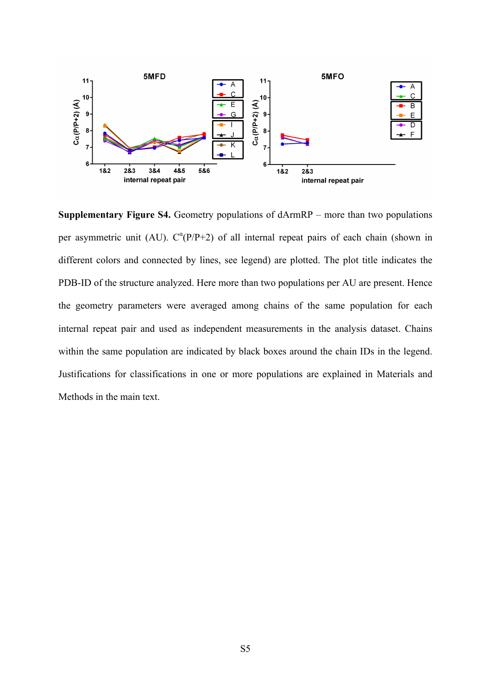

**Supplementary Figure S4.** Geometry populations of dArmRP – more than two populations per asymmetric unit (AU).  $C^{a}(P/P+2)$  of all internal repeat pairs of each chain (shown in different colors and connected by lines, see legend) are plotted. The plot title indicates the PDB-ID of the structure analyzed. Here more than two populations per AU are present. Hence the geometry parameters were averaged among chains of the same population for each internal repeat pair and used as independent measurements in the analysis dataset. Chains within the same population are indicated by black boxes around the chain IDs in the legend. Justifications for classifications in one or more populations are explained in Materials and Methods in the main text.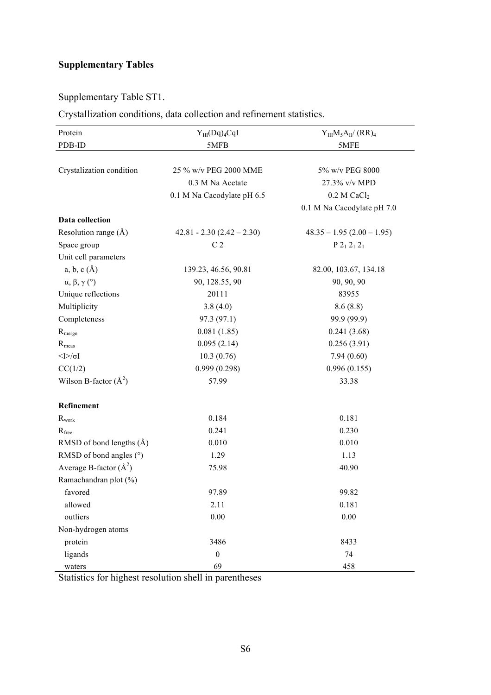### **Supplementary Tables**

### Supplementary Table ST1.

#### Crystallization conditions, data collection and refinement statistics.

| Protein                      | $Y_{III}(Dq)_{4}CqI$        | $Y_{III}M_5A_{II}/(RR)_4$    |
|------------------------------|-----------------------------|------------------------------|
| PDB-ID                       | 5MFB                        | 5MFE                         |
|                              |                             |                              |
| Crystalization condition     | 25 % w/v PEG 2000 MME       | 5% w/v PEG 8000              |
|                              | 0.3 M Na Acetate            | 27.3% v/v MPD                |
|                              | 0.1 M Na Cacodylate pH 6.5  | $0.2$ M CaCl <sub>2</sub>    |
|                              |                             | 0.1 M Na Cacodylate pH 7.0   |
| Data collection              |                             |                              |
| Resolution range $(A)$       | $42.81 - 2.30(2.42 - 2.30)$ | $48.35 - 1.95 (2.00 - 1.95)$ |
| Space group                  | C <sub>2</sub>              | $P 2_1 2_1 2_1$              |
| Unit cell parameters         |                             |                              |
| a, b, c(A)                   | 139.23, 46.56, 90.81        | 82.00, 103.67, 134.18        |
| $\alpha, \beta, \gamma$ (°)  | 90, 128.55, 90              | 90, 90, 90                   |
| Unique reflections           | 20111                       | 83955                        |
| Multiplicity                 | 3.8(4.0)                    | 8.6(8.8)                     |
| Completeness                 | 97.3 (97.1)                 | 99.9 (99.9)                  |
| R <sub>merge</sub>           | 0.081(1.85)                 | 0.241(3.68)                  |
| $R_{meas}$                   | 0.095(2.14)                 | 0.256(3.91)                  |
| $< I > \sqrt{\sigma}$        | 10.3(0.76)                  | 7.94(0.60)                   |
| CC(1/2)                      | 0.999(0.298)                | 0.996(0.155)                 |
| Wilson B-factor $(\AA^2)$    | 57.99                       | 33.38                        |
| Refinement                   |                             |                              |
| $R_{work}$                   | 0.184                       | 0.181                        |
| $R_{\text{free}}$            | 0.241                       | 0.230                        |
| RMSD of bond lengths $(\AA)$ | 0.010                       | 0.010                        |
| RMSD of bond angles $(°)$    | 1.29                        | 1.13                         |
| Average B-factor $(\AA^2)$   | 75.98                       | 40.90                        |
| Ramachandran plot (%)        |                             |                              |
| favored                      | 97.89                       | 99.82                        |
| allowed                      | 2.11                        | 0.181                        |
| outliers                     | 0.00                        | 0.00                         |
| Non-hydrogen atoms           |                             |                              |
| protein                      | 3486                        | 8433                         |
| ligands                      | $\boldsymbol{0}$            | 74                           |
| waters                       | 69                          | 458                          |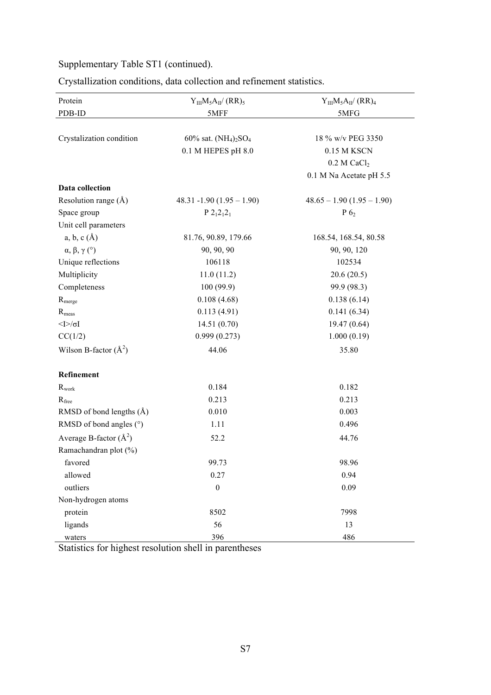Crystallization conditions, data collection and refinement statistics.

| Protein                                     | $Y_{III}M_5A_{II}/(RR)_5$   | $Y_{III}M_5A_{II}/(RR)_4$   |
|---------------------------------------------|-----------------------------|-----------------------------|
| PDB-ID                                      | 5MFF                        | 5MFG                        |
|                                             |                             |                             |
| Crystalization condition                    | 60% sat. $(NH_4)_2SO_4$     | 18 % w/v PEG 3350           |
|                                             | 0.1 M HEPES pH 8.0          | 0.15 M KSCN                 |
|                                             |                             | $0.2$ M CaCl <sub>2</sub>   |
|                                             |                             | 0.1 M Na Acetate pH 5.5     |
| Data collection                             |                             |                             |
| Resolution range $(\AA)$                    | $48.31 - 1.90(1.95 - 1.90)$ | $48.65 - 1.90(1.95 - 1.90)$ |
| Space group                                 | $P 212121$                  | $P_6$                       |
| Unit cell parameters                        |                             |                             |
| a, b, c(A)                                  | 81.76, 90.89, 179.66        | 168.54, 168.54, 80.58       |
| $\alpha, \beta, \gamma$ (°)                 | 90, 90, 90                  | 90, 90, 120                 |
| Unique reflections                          | 106118                      | 102534                      |
| Multiplicity                                | 11.0(11.2)                  | 20.6(20.5)                  |
| Completeness                                | 100(99.9)                   | 99.9 (98.3)                 |
| R <sub>merge</sub>                          | 0.108(4.68)                 | 0.138(6.14)                 |
| $R_{\rm meas}$                              | 0.113(4.91)                 | 0.141(6.34)                 |
| $<$ $\gtrsim$ $\gtrsim$ $\gtrsim$ $\gtrsim$ | 14.51(0.70)                 | 19.47(0.64)                 |
| CC(1/2)                                     | 0.999(0.273)                | 1.000(0.19)                 |
| Wilson B-factor $(\AA^2)$                   | 44.06                       | 35.80                       |
| Refinement                                  |                             |                             |
| $R_{\rm work}$                              | 0.184                       | 0.182                       |
| $R_{\text{free}}$                           | 0.213                       | 0.213                       |
| RMSD of bond lengths $(\AA)$                | 0.010                       | 0.003                       |
| RMSD of bond angles (°)                     | 1.11                        | 0.496                       |
| Average B-factor $(\AA^2)$                  | 52.2                        | 44.76                       |
| Ramachandran plot (%)                       |                             |                             |
| favored                                     | 99.73                       | 98.96                       |
| allowed                                     | 0.27                        | 0.94                        |
| outliers                                    | $\boldsymbol{0}$            | 0.09                        |
| Non-hydrogen atoms                          |                             |                             |
| protein                                     | 8502                        | 7998                        |
| ligands                                     | 56                          | 13                          |
| waters                                      | 396                         | 486                         |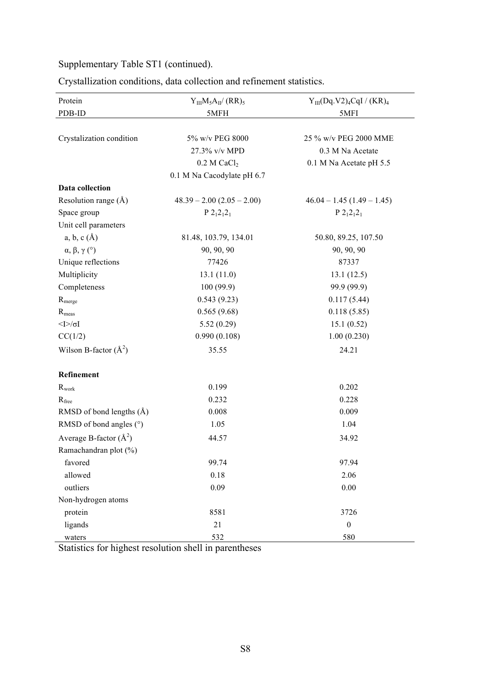| Crystallization conditions, data collection and refinement statistics. |  |  |  |
|------------------------------------------------------------------------|--|--|--|
|                                                                        |  |  |  |

| Protein                      | $Y_{III}M_5A_{II}/(RR)_5$   | $Y_{III}(Dq.V2)_4CqI / (KR)_4$ |
|------------------------------|-----------------------------|--------------------------------|
| PDB-ID                       | 5MFH                        | 5MFI                           |
|                              |                             |                                |
| Crystalization condition     | 5% w/v PEG 8000             | 25 % w/v PEG 2000 MME          |
|                              | 27.3% v/v MPD               | 0.3 M Na Acetate               |
|                              | $0.2$ M CaCl <sub>2</sub>   | 0.1 M Na Acetate pH 5.5        |
|                              | 0.1 M Na Cacodylate pH 6.7  |                                |
| Data collection              |                             |                                |
| Resolution range $(\AA)$     | $48.39 - 2.00(2.05 - 2.00)$ | $46.04 - 1.45(1.49 - 1.45)$    |
| Space group                  | $P 212121$                  | $P 212121$                     |
| Unit cell parameters         |                             |                                |
| a, b, c(A)                   | 81.48, 103.79, 134.01       | 50.80, 89.25, 107.50           |
| $\alpha, \beta, \gamma$ (°)  | 90, 90, 90                  | 90, 90, 90                     |
| Unique reflections           | 77426                       | 87337                          |
| Multiplicity                 | 13.1(11.0)                  | 13.1(12.5)                     |
| Completeness                 | 100(99.9)                   | 99.9 (99.9)                    |
| R <sub>merge</sub>           | 0.543(9.23)                 | 0.117(5.44)                    |
| $R_{meas}$                   | 0.565(9.68)                 | 0.118(5.85)                    |
| $<$ [> $\sim$ [              | 5.52(0.29)                  | 15.1(0.52)                     |
| CC(1/2)                      | 0.990(0.108)                | 1.00(0.230)                    |
| Wilson B-factor $(\AA^2)$    | 35.55                       | 24.21                          |
| Refinement                   |                             |                                |
| $R_{work}$                   | 0.199                       | 0.202                          |
| $R_{\text{free}}$            | 0.232                       | 0.228                          |
| RMSD of bond lengths $(\AA)$ | 0.008                       | 0.009                          |
| RMSD of bond angles (°)      | 1.05                        | 1.04                           |
| Average B-factor $(\AA^2)$   | 44.57                       | 34.92                          |
| Ramachandran plot (%)        |                             |                                |
| favored                      | 99.74                       | 97.94                          |
| allowed                      | 0.18                        | 2.06                           |
| outliers                     | 0.09                        | 0.00                           |
| Non-hydrogen atoms           |                             |                                |
| protein                      | 8581                        | 3726                           |
| ligands                      | 21                          | $\boldsymbol{0}$               |
| waters                       | 532                         | 580                            |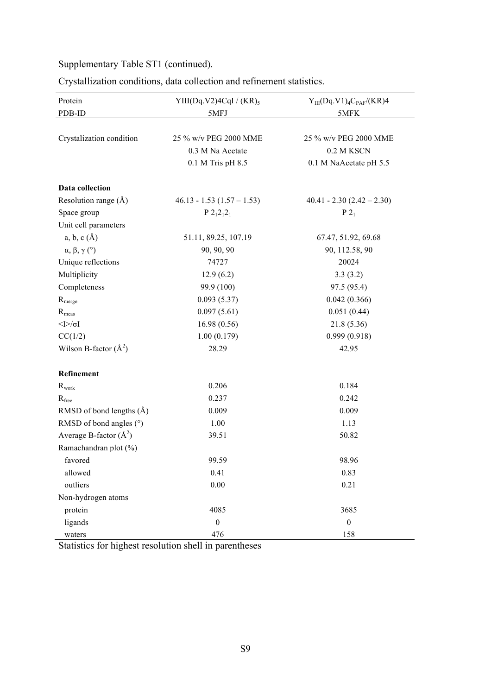| Crystallization conditions, data collection and refinement statistics. |  |  |  |
|------------------------------------------------------------------------|--|--|--|
|                                                                        |  |  |  |

| Protein                      | $YIII(Dq.V2)4CqI / (KR)_{5}$   | $Y_{III}(Dq.V1)_{4}C_{PAF}/(KR)4$ |
|------------------------------|--------------------------------|-----------------------------------|
| PDB-ID                       | 5MFJ                           | 5MFK                              |
|                              |                                |                                   |
| Crystalization condition     | 25 % w/v PEG 2000 MME          | 25 % w/v PEG 2000 MME             |
|                              | 0.3 M Na Acetate               | 0.2 M KSCN                        |
|                              | 0.1 M Tris pH 8.5              | 0.1 M NaAcetate pH 5.5            |
| <b>Data collection</b>       |                                |                                   |
| Resolution range $(\AA)$     | $46.13 - 1.53$ $(1.57 - 1.53)$ | $40.41 - 2.30(2.42 - 2.30)$       |
| Space group                  | $P 212121$                     | $P_1$                             |
| Unit cell parameters         |                                |                                   |
| a, b, c(A)                   | 51.11, 89.25, 107.19           | 67.47, 51.92, 69.68               |
| $\alpha, \beta, \gamma$ (°)  | 90, 90, 90                     | 90, 112.58, 90                    |
| Unique reflections           | 74727                          | 20024                             |
| Multiplicity                 | 12.9(6.2)                      | 3.3(3.2)                          |
| Completeness                 | 99.9 (100)                     | 97.5 (95.4)                       |
| R <sub>merge</sub>           | 0.093(5.37)                    | 0.042(0.366)                      |
| $R_{meas}$                   | 0.097(5.61)                    | 0.051(0.44)                       |
| $<$ [> $\sim$ [              | 16.98(0.56)                    | 21.8(5.36)                        |
| CC(1/2)                      | 1.00(0.179)                    | 0.999(0.918)                      |
| Wilson B-factor $(\AA^2)$    | 28.29                          | 42.95                             |
| Refinement                   |                                |                                   |
| $R_{\rm work}$               | 0.206                          | 0.184                             |
| $R_{\text{free}}$            | 0.237                          | 0.242                             |
| RMSD of bond lengths $(\AA)$ | 0.009                          | 0.009                             |
| RMSD of bond angles (°)      | 1.00                           | 1.13                              |
| Average B-factor $(\AA^2)$   | 39.51                          | 50.82                             |
| Ramachandran plot (%)        |                                |                                   |
| favored                      | 99.59                          | 98.96                             |
| allowed                      | 0.41                           | 0.83                              |
| outliers                     | 0.00                           | 0.21                              |
| Non-hydrogen atoms           |                                |                                   |
| protein                      | 4085                           | 3685                              |
| ligands                      | $\boldsymbol{0}$               | $\boldsymbol{0}$                  |
| waters                       | 476                            | 158                               |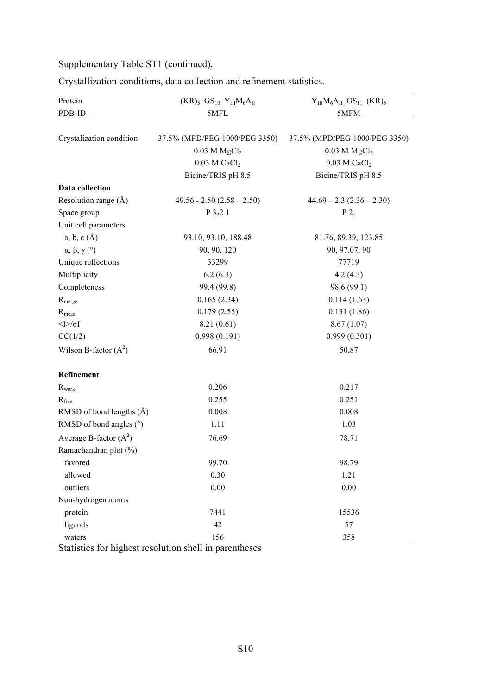| Crystallization conditions, data collection and refinement statistics. |  |  |  |  |  |  |
|------------------------------------------------------------------------|--|--|--|--|--|--|
|------------------------------------------------------------------------|--|--|--|--|--|--|

| Protein                      | $(KR)_{5}$ <sub>10</sub> $Y_{III}M_6A_{II}$ | $Y_{III}M_6A_{II}$ GS <sub>11</sub> (KR) <sub>5</sub> |
|------------------------------|---------------------------------------------|-------------------------------------------------------|
| PDB-ID                       | 5MFL                                        | 5MFM                                                  |
|                              |                                             |                                                       |
| Crystalization condition     | 37.5% (MPD/PEG 1000/PEG 3350)               | 37.5% (MPD/PEG 1000/PEG 3350)                         |
|                              | $0.03$ M $MgCl2$                            | $0.03$ M $MgCl2$                                      |
|                              | $0.03$ M CaCl <sub>2</sub>                  | $0.03$ M CaCl <sub>2</sub>                            |
|                              | Bicine/TRIS pH 8.5                          | Bicine/TRIS pH 8.5                                    |
| Data collection              |                                             |                                                       |
| Resolution range $(\AA)$     | $49.56 - 2.50 (2.58 - 2.50)$                | $44.69 - 2.3(2.36 - 2.30)$                            |
| Space group                  | $P_3221$                                    | $P_1$                                                 |
| Unit cell parameters         |                                             |                                                       |
| a, b, c(A)                   | 93.10, 93.10, 188.48                        | 81.76, 89.39, 123.85                                  |
| $\alpha, \beta, \gamma$ (°)  | 90, 90, 120                                 | 90, 97.07, 90                                         |
| Unique reflections           | 33299                                       | 77719                                                 |
| Multiplicity                 | 6.2(6.3)                                    | 4.2(4.3)                                              |
| Completeness                 | 99.4 (99.8)                                 | 98.6 (99.1)                                           |
| R <sub>merge</sub>           | 0.165(2.34)                                 | 0.114(1.63)                                           |
| $R_{meas}$                   | 0.179(2.55)                                 | 0.131(1.86)                                           |
| $\leq$ $\geq$ $\leq$ $\leq$  | 8.21(0.61)                                  | 8.67(1.07)                                            |
| CC(1/2)                      | 0.998(0.191)                                | 0.999(0.301)                                          |
| Wilson B-factor $(\AA^2)$    | 66.91                                       | 50.87                                                 |
| Refinement                   |                                             |                                                       |
| $R_{work}$                   | 0.206                                       | 0.217                                                 |
| $R_{\text{free}}$            | 0.255                                       | 0.251                                                 |
| RMSD of bond lengths $(\AA)$ | 0.008                                       | 0.008                                                 |
| RMSD of bond angles $(°)$    | 1.11                                        | 1.03                                                  |
| Average B-factor $(\AA^2)$   | 76.69                                       | 78.71                                                 |
| Ramachandran plot (%)        |                                             |                                                       |
| favored                      | 99.70                                       | 98.79                                                 |
| allowed                      | 0.30                                        | 1.21                                                  |
| outliers                     | 0.00                                        | 0.00                                                  |
| Non-hydrogen atoms           |                                             |                                                       |
| protein                      | 7441                                        | 15536                                                 |
| ligands                      | 42                                          | 57                                                    |
| waters                       | 156                                         | 358                                                   |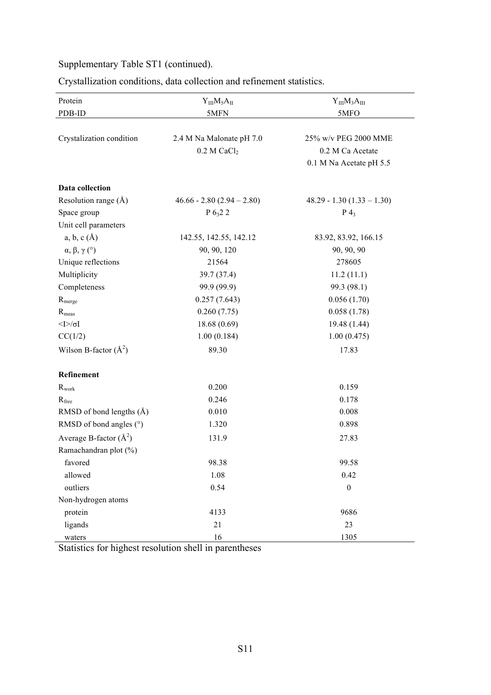Crystallization conditions, data collection and refinement statistics.

| Protein                           | $Y_{III}M_5A_{II}$           | $Y_{III}M_3A_{III}$         |
|-----------------------------------|------------------------------|-----------------------------|
| PDB-ID                            | 5MFN                         | 5MFO                        |
|                                   |                              |                             |
| Crystalization condition          | 2.4 M Na Malonate pH 7.0     | 25% w/v PEG 2000 MME        |
|                                   | $0.2$ M CaCl <sub>2</sub>    | 0.2 M Ca Acetate            |
|                                   |                              | 0.1 M Na Acetate pH 5.5     |
| Data collection                   |                              |                             |
| Resolution range $(\AA)$          | $46.66 - 2.80 (2.94 - 2.80)$ | $48.29 - 1.30(1.33 - 1.30)$ |
| Space group                       | $P_{0,2}$ 2                  | $P_4$                       |
| Unit cell parameters              |                              |                             |
| a, b, c(A)                        | 142.55, 142.55, 142.12       | 83.92, 83.92, 166.15        |
| $\alpha$ , $\beta$ , $\gamma$ (°) | 90, 90, 120                  | 90, 90, 90                  |
| Unique reflections                | 21564                        | 278605                      |
| Multiplicity                      | 39.7 (37.4)                  | 11.2(11.1)                  |
| Completeness                      | 99.9 (99.9)                  | 99.3 (98.1)                 |
| R <sub>merge</sub>                | 0.257(7.643)                 | 0.056(1.70)                 |
| $R_{\rm meas}$                    | 0.260(7.75)                  | 0.058(1.78)                 |
| $<$ [> $\sim$ [                   | 18.68(0.69)                  | 19.48 (1.44)                |
| CC(1/2)                           | 1.00(0.184)                  | 1.00(0.475)                 |
| Wilson B-factor $(\AA^2)$         | 89.30                        | 17.83                       |
| Refinement                        |                              |                             |
| $R_{\rm work}$                    | 0.200                        | 0.159                       |
| $R_{\text{free}}$                 | 0.246                        | 0.178                       |
| RMSD of bond lengths $(\AA)$      | 0.010                        | 0.008                       |
| RMSD of bond angles (°)           | 1.320                        | 0.898                       |
| Average B-factor $(\AA^2)$        | 131.9                        | 27.83                       |
| Ramachandran plot (%)             |                              |                             |
| favored                           | 98.38                        | 99.58                       |
| allowed                           | 1.08                         | 0.42                        |
| outliers                          | 0.54                         | $\boldsymbol{0}$            |
| Non-hydrogen atoms                |                              |                             |
| protein                           | 4133                         | 9686                        |
| ligands                           | 21                           | 23                          |
| waters                            | 16                           | 1305                        |